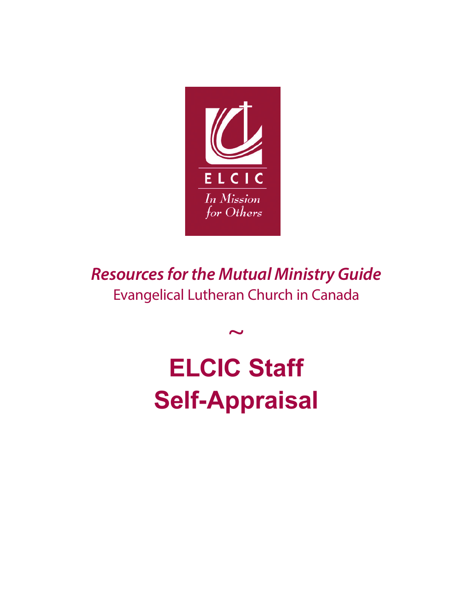

*Resources for the Mutual Ministry Guide* Evangelical Lutheran Church in Canada

 $\sim$ 

**ELCIC Staff Self-Appraisal**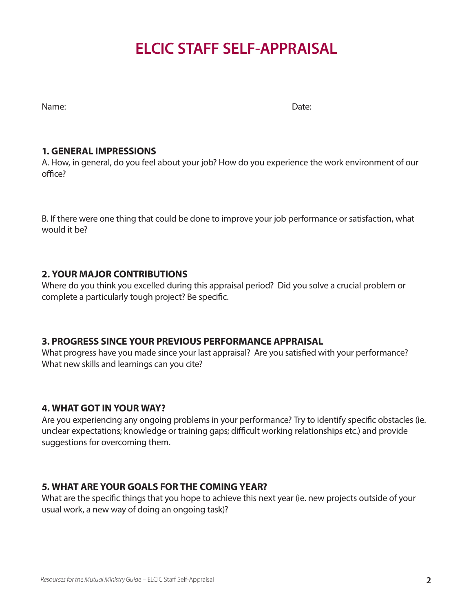# **ELCIC STAFF SELF-APPRAISAL**

Name: Date:

### **1. GENERAL IMPRESSIONS**

A. How, in general, do you feel about your job? How do you experience the work environment of our office?

B. If there were one thing that could be done to improve your job performance or satisfaction, what would it be?

## **2. YOUR MAJOR CONTRIBUTIONS**

Where do you think you excelled during this appraisal period? Did you solve a crucial problem or complete a particularly tough project? Be specific.

## **3. PROGRESS SINCE YOUR PREVIOUS PERFORMANCE APPRAISAL**

What progress have you made since your last appraisal? Are you satisfied with your performance? What new skills and learnings can you cite?

## **4. WHAT GOT IN YOUR WAY?**

Are you experiencing any ongoing problems in your performance? Try to identify specific obstacles (ie. unclear expectations; knowledge or training gaps; difficult working relationships etc.) and provide suggestions for overcoming them.

## **5. WHAT ARE YOUR GOALS FOR THE COMING YEAR?**

What are the specific things that you hope to achieve this next year (ie. new projects outside of your usual work, a new way of doing an ongoing task)?